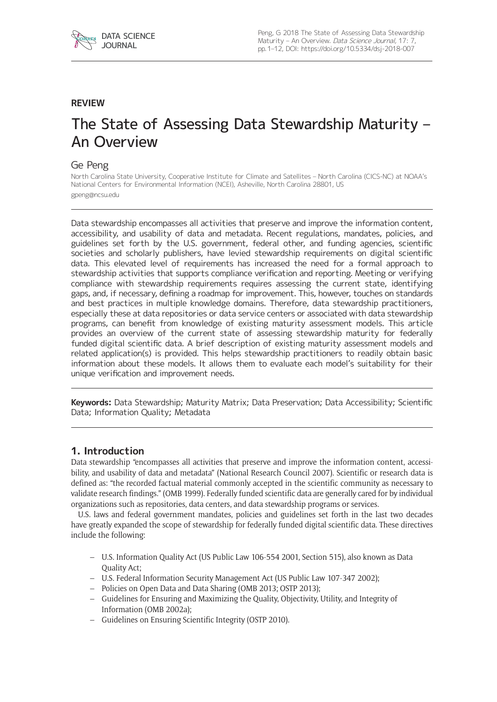

# **REVIEW**

# The State of Assessing Data Stewardship Maturity – An Overview

# Ge Peng

North Carolina State University, Cooperative Institute for Climate and Satellites – North Carolina (CICS-NC) at NOAA's National Centers for Environmental Information (NCEI), Asheville, North Carolina 28801, US [gpeng@ncsu.edu](mailto:gpeng@ncsu.edu)

Data stewardship encompasses all activities that preserve and improve the information content, accessibility, and usability of data and metadata. Recent regulations, mandates, policies, and guidelines set forth by the U.S. government, federal other, and funding agencies, scientific societies and scholarly publishers, have levied stewardship requirements on digital scientific data. This elevated level of requirements has increased the need for a formal approach to stewardship activities that supports compliance verification and reporting. Meeting or verifying compliance with stewardship requirements requires assessing the current state, identifying gaps, and, if necessary, defining a roadmap for improvement. This, however, touches on standards and best practices in multiple knowledge domains. Therefore, data stewardship practitioners, especially these at data repositories or data service centers or associated with data stewardship programs, can benefit from knowledge of existing maturity assessment models. This article provides an overview of the current state of assessing stewardship maturity for federally funded digital scientific data. A brief description of existing maturity assessment models and related application(s) is provided. This helps stewardship practitioners to readily obtain basic information about these models. It allows them to evaluate each model's suitability for their unique verification and improvement needs.

**Keywords:** Data Stewardship; Maturity Matrix; Data Preservation; Data Accessibility; Scientific Data; Information Quality; Metadata

# **1. Introduction**

Data stewardship "encompasses all activities that preserve and improve the information content, accessibility, and usability of data and metadata" (National Research Council 2007). Scientific or research data is defined as: "the recorded factual material commonly accepted in the scientific community as necessary to validate research findings." (OMB 1999). Federally funded scientific data are generally cared for by individual organizations such as repositories, data centers, and data stewardship programs or services.

U.S. laws and federal government mandates, policies and guidelines set forth in the last two decades have greatly expanded the scope of stewardship for federally funded digital scientific data. These directives include the following:

- U.S. Information Quality Act (US Public Law 106-554 2001, Section 515), also known as Data Quality Act;
- U.S. Federal Information Security Management Act (US Public Law 107-347 2002);
- Policies on Open Data and Data Sharing (OMB 2013; OSTP 2013);
- Guidelines for Ensuring and Maximizing the Quality, Objectivity, Utility, and Integrity of Information (OMB 2002a);
- Guidelines on Ensuring Scientific Integrity (OSTP 2010).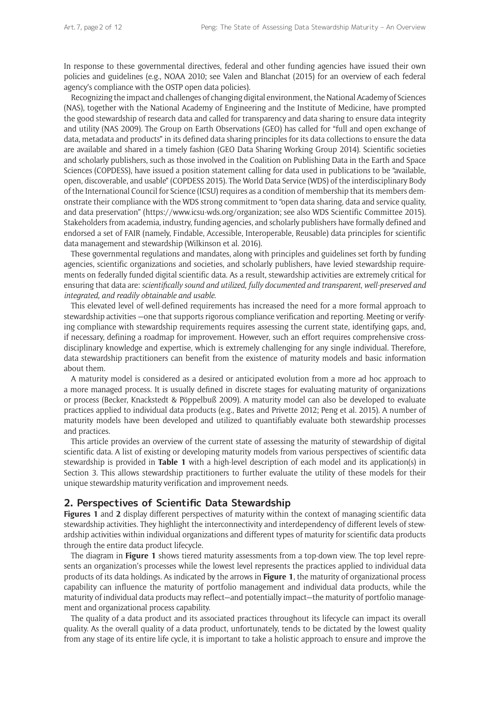In response to these governmental directives, federal and other funding agencies have issued their own policies and guidelines (e.g., NOAA 2010; see Valen and Blanchat (2015) for an overview of each federal agency's compliance with the OSTP open data policies).

Recognizing the impact and challenges of changing digital environment, the National Academy of Sciences (NAS), together with the National Academy of Engineering and the Institute of Medicine, have prompted the good stewardship of research data and called for transparency and data sharing to ensure data integrity and utility (NAS 2009). The Group on Earth Observations (GEO) has called for "full and open exchange of data, metadata and products" in its defined data sharing principles for its data collections to ensure the data are available and shared in a timely fashion (GEO Data Sharing Working Group 2014). Scientific societies and scholarly publishers, such as those involved in the Coalition on Publishing Data in the Earth and Space Sciences (COPDESS), have issued a position statement calling for data used in publications to be "available, open, discoverable, and usable" (COPDESS 2015). The World Data Service (WDS) of the interdisciplinary Body of the International Council for Science (ICSU) requires as a condition of membership that its members demonstrate their compliance with the WDS strong commitment to "open data sharing, data and service quality, and data preservation" [\(https://www.icsu-wds.org/organization](https://www.icsu-wds.org/organization); see also WDS Scientific Committee 2015). Stakeholders from academia, industry, funding agencies, and scholarly publishers have formally defined and endorsed a set of FAIR (namely, Findable, Accessible, Interoperable, Reusable) data principles for scientific data management and stewardship (Wilkinson et al. 2016).

These governmental regulations and mandates, along with principles and guidelines set forth by funding agencies, scientific organizations and societies, and scholarly publishers, have levied stewardship requirements on federally funded digital scientific data. As a result, stewardship activities are extremely critical for ensuring that data are: *scientifically sound and utilized*, *fully documented and transparent*, *well-preserved and integrated*, *and readily obtainable and usable*.

This elevated level of well-defined requirements has increased the need for a more formal approach to stewardship activities —one that supports rigorous compliance verification and reporting. Meeting or verifying compliance with stewardship requirements requires assessing the current state, identifying gaps, and, if necessary, defining a roadmap for improvement. However, such an effort requires comprehensive crossdisciplinary knowledge and expertise, which is extremely challenging for any single individual. Therefore, data stewardship practitioners can benefit from the existence of maturity models and basic information about them.

A maturity model is considered as a desired or anticipated evolution from a more ad hoc approach to a more managed process. It is usually defined in discrete stages for evaluating maturity of organizations or process (Becker, Knackstedt & Pöppelbuß 2009). A maturity model can also be developed to evaluate practices applied to individual data products (e.g., Bates and Privette 2012; Peng et al. 2015). A number of maturity models have been developed and utilized to quantifiably evaluate both stewardship processes and practices.

This article provides an overview of the current state of assessing the maturity of stewardship of digital scientific data. A list of existing or developing maturity models from various perspectives of scientific data stewardship is provided in **Table 1** with a high-level description of each model and its application(s) in Section 3. This allows stewardship practitioners to further evaluate the utility of these models for their unique stewardship maturity verification and improvement needs.

## **2. Perspectives of Scientific Data Stewardship**

**Figures 1** and **2** display different perspectives of maturity within the context of managing scientific data stewardship activities. They highlight the interconnectivity and interdependency of different levels of stewardship activities within individual organizations and different types of maturity for scientific data products through the entire data product lifecycle.

The diagram in **Figure 1** shows tiered maturity assessments from a top-down view. The top level represents an organization's processes while the lowest level represents the practices applied to individual data products of its data holdings. As indicated by the arrows in **Figure 1**, the maturity of organizational process capability can influence the maturity of portfolio management and individual data products, while the maturity of individual data products may reflect—and potentially impact—the maturity of portfolio management and organizational process capability.

The quality of a data product and its associated practices throughout its lifecycle can impact its overall quality. As the overall quality of a data product, unfortunately, tends to be dictated by the lowest quality from any stage of its entire life cycle, it is important to take a holistic approach to ensure and improve the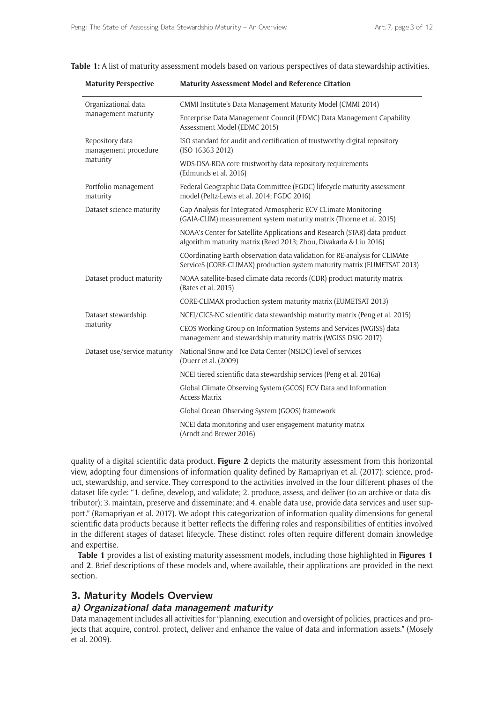|  |  | <b>Table 1:</b> A list of maturity assessment models based on various perspectives of data stewardship activities. |
|--|--|--------------------------------------------------------------------------------------------------------------------|
|  |  |                                                                                                                    |

| <b>Maturity Perspective</b>             | <b>Maturity Assessment Model and Reference Citation</b>                                                                                                |  |  |
|-----------------------------------------|--------------------------------------------------------------------------------------------------------------------------------------------------------|--|--|
| Organizational data                     | CMMI Institute's Data Management Maturity Model (CMMI 2014)                                                                                            |  |  |
| management maturity                     | Enterprise Data Management Council (EDMC) Data Management Capability<br>Assessment Model (EDMC 2015)                                                   |  |  |
| Repository data<br>management procedure | ISO standard for audit and certification of trustworthy digital repository<br>(ISO 16363 2012)                                                         |  |  |
| maturity                                | WDS-DSA-RDA core trustworthy data repository requirements<br>(Edmunds et al. 2016)                                                                     |  |  |
| Portfolio management<br>maturity        | Federal Geographic Data Committee (FGDC) lifecycle maturity assessment<br>model (Peltz-Lewis et al. 2014; FGDC 2016)                                   |  |  |
| Dataset science maturity                | Gap Analysis for Integrated Atmospheric ECV CLimate Monitoring<br>(GAIA-CLIM) measurement system maturity matrix (Thorne et al. 2015)                  |  |  |
|                                         | NOAA's Center for Satellite Applications and Research (STAR) data product<br>algorithm maturity matrix (Reed 2013; Zhou, Divakarla & Liu 2016)         |  |  |
|                                         | COordinating Earth observation data validation for RE-analysis for CLIMAte<br>ServiceS (CORE-CLIMAX) production system maturity matrix (EUMETSAT 2013) |  |  |
| Dataset product maturity                | NOAA satellite-based climate data records (CDR) product maturity matrix<br>(Bates et al. 2015)                                                         |  |  |
|                                         | CORE-CLIMAX production system maturity matrix (EUMETSAT 2013)                                                                                          |  |  |
| Dataset stewardship                     | NCEI/CICS-NC scientific data stewardship maturity matrix (Peng et al. 2015)                                                                            |  |  |
| maturity                                | CEOS Working Group on Information Systems and Services (WGISS) data<br>management and stewardship maturity matrix (WGISS DSIG 2017)                    |  |  |
| Dataset use/service maturity            | National Snow and Ice Data Center (NSIDC) level of services<br>(Duerr et al. (2009)                                                                    |  |  |
|                                         | NCEI tiered scientific data stewardship services (Peng et al. 2016a)                                                                                   |  |  |
|                                         | Global Climate Observing System (GCOS) ECV Data and Information<br><b>Access Matrix</b>                                                                |  |  |
|                                         | Global Ocean Observing System (GOOS) framework                                                                                                         |  |  |
|                                         | NCEI data monitoring and user engagement maturity matrix<br>(Arndt and Brewer 2016)                                                                    |  |  |

quality of a digital scientific data product. **Figure 2** depicts the maturity assessment from this horizontal view, adopting four dimensions of information quality defined by Ramapriyan et al. (2017): science, product, stewardship, and service. They correspond to the activities involved in the four different phases of the dataset life cycle: "1. define, develop, and validate; 2. produce, assess, and deliver (to an archive or data distributor); 3. maintain, preserve and disseminate; and 4. enable data use, provide data services and user support." (Ramapriyan et al. 2017). We adopt this categorization of information quality dimensions for general scientific data products because it better reflects the differing roles and responsibilities of entities involved in the different stages of dataset lifecycle. These distinct roles often require different domain knowledge and expertise.

**Table 1** provides a list of existing maturity assessment models, including those highlighted in **Figures 1** and **2**. Brief descriptions of these models and, where available, their applications are provided in the next section.

## **3. Maturity Models Overview**

#### **a) Organizational data management maturity**

Data management includes all activities for "planning, execution and oversight of policies, practices and projects that acquire, control, protect, deliver and enhance the value of data and information assets." (Mosely et al. 2009).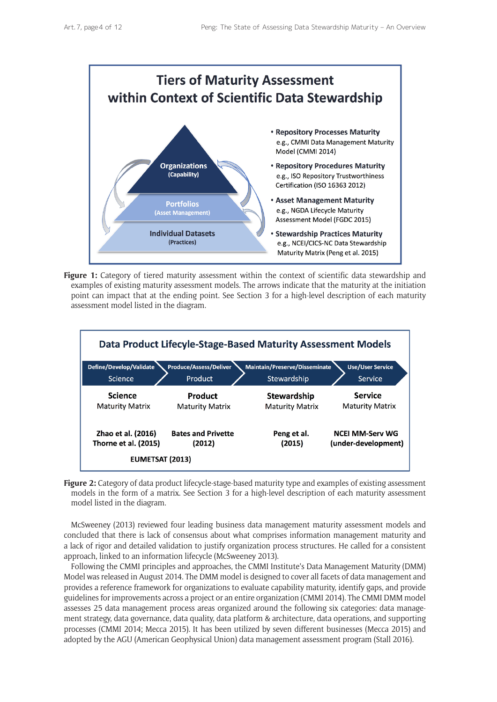

**Figure 1:** Category of tiered maturity assessment within the context of scientific data stewardship and examples of existing maturity assessment models. The arrows indicate that the maturity at the initiation point can impact that at the ending point. See Section 3 for a high-level description of each maturity assessment model listed in the diagram.



**Figure 2:** Category of data product lifecycle-stage-based maturity type and examples of existing assessment models in the form of a matrix. See Section 3 for a high-level description of each maturity assessment model listed in the diagram.

McSweeney (2013) reviewed four leading business data management maturity assessment models and concluded that there is lack of consensus about what comprises information management maturity and a lack of rigor and detailed validation to justify organization process structures. He called for a consistent approach, linked to an information lifecycle (McSweeney 2013).

Following the CMMI principles and approaches, the CMMI Institute's Data Management Maturity (DMM) Model was released in August 2014. The DMM model is designed to cover all facets of data management and provides a reference framework for organizations to evaluate capability maturity, identify gaps, and provide guidelines for improvements across a project or an entire organization (CMMI 2014). The CMMI DMM model assesses 25 data management process areas organized around the following six categories: data management strategy, data governance, data quality, data platform & architecture, data operations, and supporting processes (CMMI 2014; Mecca 2015). It has been utilized by seven different businesses (Mecca 2015) and adopted by the AGU (American Geophysical Union) data management assessment program (Stall 2016).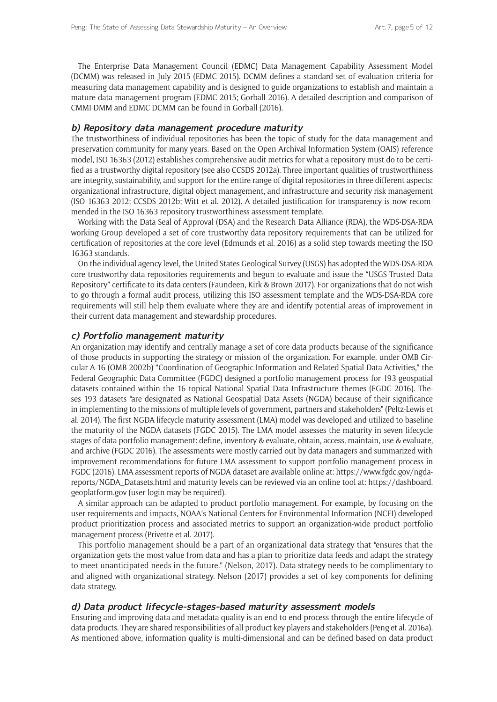The Enterprise Data Management Council (EDMC) Data Management Capability Assessment Model (DCMM) was released in July 2015 (EDMC 2015). DCMM defines a standard set of evaluation criteria for measuring data management capability and is designed to guide organizations to establish and maintain a mature data management program (EDMC 2015; Gorball 2016). A detailed description and comparison of CMMI DMM and EDMC DCMM can be found in Gorball (2016).

#### **b) Repository data management procedure maturity**

The trustworthiness of individual repositories has been the topic of study for the data management and preservation community for many years. Based on the Open Archival Information System (OAIS) reference model, ISO 16363 (2012) establishes comprehensive audit metrics for what a repository must do to be certified as a trustworthy digital repository (see also CCSDS 2012a). Three important qualities of trustworthiness are integrity, sustainability, and support for the entire range of digital repositories in three different aspects: organizational infrastructure, digital object management, and infrastructure and security risk management (ISO 16363 2012; CCSDS 2012b; Witt et al. 2012). A detailed justification for transparency is now recommended in the ISO 16363 repository trustworthiness assessment template.

Working with the Data Seal of Approval (DSA) and the Research Data Alliance (RDA), the WDS-DSA-RDA working Group developed a set of core trustworthy data repository requirements that can be utilized for certification of repositories at the core level (Edmunds et al. 2016) as a solid step towards meeting the ISO 16363 standards.

On the individual agency level, the United States Geological Survey (USGS) has adopted the WDS-DSA-RDA core trustworthy data repositories requirements and begun to evaluate and issue the "USGS Trusted Data Repository" certificate to its data centers (Faundeen, Kirk & Brown 2017). For organizations that do not wish to go through a formal audit process, utilizing this ISO assessment template and the WDS-DSA-RDA core requirements will still help them evaluate where they are and identify potential areas of improvement in their current data management and stewardship procedures.

#### **c) Portfolio management maturity**

An organization may identify and centrally manage a set of core data products because of the significance of those products in supporting the strategy or mission of the organization. For example, under OMB Circular A-16 (OMB 2002b) "Coordination of Geographic Information and Related Spatial Data Activities," the Federal Geographic Data Committee (FGDC) designed a portfolio management process for 193 geospatial datasets contained within the 16 topical National Spatial Data Infrastructure themes (FGDC 2016). Theses 193 datasets "are designated as National Geospatial Data Assets (NGDA) because of their significance in implementing to the missions of multiple levels of government, partners and stakeholders" (Peltz-Lewis et al. 2014). The first NGDA lifecycle maturity assessment (LMA) model was developed and utilized to baseline the maturity of the NGDA datasets (FGDC 2015). The LMA model assesses the maturity in seven lifecycle stages of data portfolio management: define, inventory & evaluate, obtain, access, maintain, use & evaluate, and archive (FGDC 2016). The assessments were mostly carried out by data managers and summarized with improvement recommendations for future LMA assessment to support portfolio management process in FGDC (2016). LMA assessment reports of NGDA dataset are available online at: [https://www.fgdc.gov/ngda](https://www.fgdc.gov/ngda-reports/NGDA_Datasets.html)[reports/NGDA\\_Datasets.html](https://www.fgdc.gov/ngda-reports/NGDA_Datasets.html) and maturity levels can be reviewed via an online tool at: [https://dashboard.](https://dashboard.geoplatform.gov) [geoplatform.gov](https://dashboard.geoplatform.gov) (user login may be required).

A similar approach can be adapted to product portfolio management. For example, by focusing on the user requirements and impacts, NOAA's National Centers for Environmental Information (NCEI) developed product prioritization process and associated metrics to support an organization-wide product portfolio management process (Privette et al. 2017).

This portfolio management should be a part of an organizational data strategy that "ensures that the organization gets the most value from data and has a plan to prioritize data feeds and adapt the strategy to meet unanticipated needs in the future." (Nelson, 2017). Data strategy needs to be complimentary to and aligned with organizational strategy. Nelson (2017) provides a set of key components for defining data strategy.

### **d) Data product lifecycle-stages-based maturity assessment models**

Ensuring and improving data and metadata quality is an end-to-end process through the entire lifecycle of data products. They are shared responsibilities of all product key players and stakeholders (Peng et al. 2016a). As mentioned above, information quality is multi-dimensional and can be defined based on data product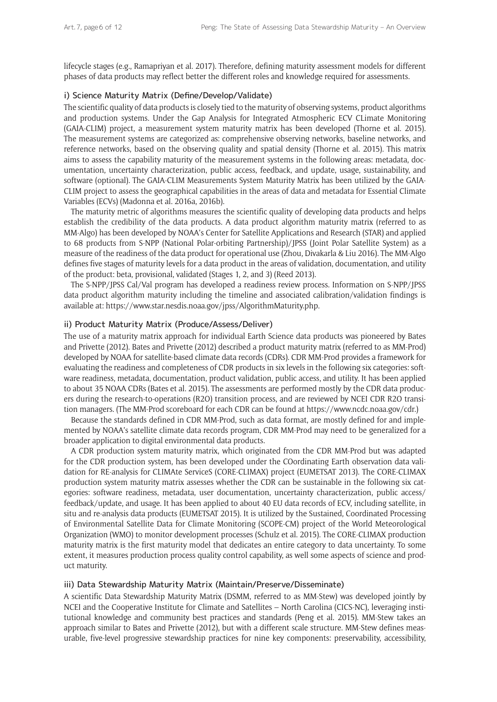lifecycle stages (e.g., Ramapriyan et al. 2017). Therefore, defining maturity assessment models for different phases of data products may reflect better the different roles and knowledge required for assessments.

#### i) Science Maturity Matrix (Define/Develop/Validate)

The scientific quality of data products is closely tied to the maturity of observing systems, product algorithms and production systems. Under the Gap Analysis for Integrated Atmospheric ECV CLimate Monitoring (GAIA-CLIM) project, a measurement system maturity matrix has been developed (Thorne et al. 2015). The measurement systems are categorized as: comprehensive observing networks, baseline networks, and reference networks, based on the observing quality and spatial density (Thorne et al. 2015). This matrix aims to assess the capability maturity of the measurement systems in the following areas: metadata, documentation, uncertainty characterization, public access, feedback, and update, usage, sustainability, and software (optional). The GAIA-CLIM Measurements System Maturity Matrix has been utilized by the GAIA-CLIM project to assess the geographical capabilities in the areas of data and metadata for Essential Climate Variables (ECVs) (Madonna et al. 2016a, 2016b).

The maturity metric of algorithms measures the scientific quality of developing data products and helps establish the credibility of the data products. A data product algorithm maturity matrix (referred to as MM-Algo) has been developed by NOAA's Center for Satellite Applications and Research (STAR) and applied to 68 products from S-NPP (National Polar-orbiting Partnership)/JPSS (Joint Polar Satellite System) as a measure of the readiness of the data product for operational use (Zhou, Divakarla & Liu 2016). The MM-Algo defines five stages of maturity levels for a data product in the areas of validation, documentation, and utility of the product: beta, provisional, validated (Stages 1, 2, and 3) (Reed 2013).

The S-NPP/JPSS Cal/Val program has developed a readiness review process. Information on S-NPP/JPSS data product algorithm maturity including the timeline and associated calibration/validation findings is available at: <https://www.star.nesdis.noaa.gov/jpss/AlgorithmMaturity.php>.

#### ii) Product Maturity Matrix (Produce/Assess/Deliver)

The use of a maturity matrix approach for individual Earth Science data products was pioneered by Bates and Privette (2012). Bates and Privette (2012) described a product maturity matrix (referred to as MM-Prod) developed by NOAA for satellite-based climate data records (CDRs). CDR MM-Prod provides a framework for evaluating the readiness and completeness of CDR products in six levels in the following six categories: software readiness, metadata, documentation, product validation, public access, and utility. It has been applied to about 35 NOAA CDRs (Bates et al. 2015). The assessments are performed mostly by the CDR data producers during the research-to-operations (R2O) transition process, and are reviewed by NCEI CDR R2O transition managers. (The MM-Prod scoreboard for each CDR can be found at [https://www.ncdc.noaa.gov/cdr.](https://www.ncdc.noaa.gov/cdr))

Because the standards defined in CDR MM-Prod, such as data format, are mostly defined for and implemented by NOAA's satellite climate data records program, CDR MM-Prod may need to be generalized for a broader application to digital environmental data products.

A CDR production system maturity matrix, which originated from the CDR MM-Prod but was adapted for the CDR production system, has been developed under the COordinating Earth observation data validation for RE-analysis for CLIMAte ServiceS (CORE-CLIMAX) project (EUMETSAT 2013). The CORE-CLIMAX production system maturity matrix assesses whether the CDR can be sustainable in the following six categories: software readiness, metadata, user documentation, uncertainty characterization, public access/ feedback/update, and usage. It has been applied to about 40 EU data records of ECV, including satellite, in situ and re-analysis data products (EUMETSAT 2015). It is utilized by the Sustained, Coordinated Processing of Environmental Satellite Data for Climate Monitoring (SCOPE-CM) project of the World Meteorological Organization (WMO) to monitor development processes (Schulz et al. 2015). The CORE-CLIMAX production maturity matrix is the first maturity model that dedicates an entire category to data uncertainty. To some extent, it measures production process quality control capability, as well some aspects of science and product maturity.

#### iii) Data Stewardship Maturity Matrix (Maintain/Preserve/Disseminate)

A scientific Data Stewardship Maturity Matrix (DSMM, referred to as MM-Stew) was developed jointly by NCEI and the Cooperative Institute for Climate and Satellites – North Carolina (CICS-NC), leveraging institutional knowledge and community best practices and standards (Peng et al. 2015). MM-Stew takes an approach similar to Bates and Privette (2012), but with a different scale structure. MM-Stew defines measurable, five-level progressive stewardship practices for nine key components: preservability, accessibility,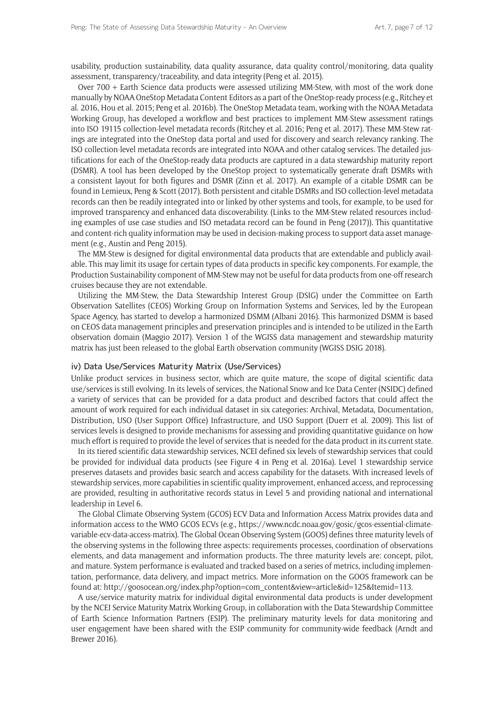usability, production sustainability, data quality assurance, data quality control/monitoring, data quality assessment, transparency/traceability, and data integrity (Peng et al. 2015).

Over 700 + Earth Science data products were assessed utilizing MM-Stew, with most of the work done manually by NOAA OneStop Metadata Content Editors as a part of the OneStop-ready process (e.g., Ritchey et al. 2016, Hou et al. 2015; Peng et al. 2016b). The OneStop Metadata team, working with the NOAA Metadata Working Group, has developed a workflow and best practices to implement MM-Stew assessment ratings into ISO 19115 collection-level metadata records (Ritchey et al. 2016; Peng et al. 2017). These MM-Stew ratings are integrated into the OneStop data portal and used for discovery and search relevancy ranking. The ISO collection-level metadata records are integrated into NOAA and other catalog services. The detailed justifications for each of the OneStop-ready data products are captured in a data stewardship maturity report (DSMR). A tool has been developed by the OneStop project to systematically generate draft DSMRs with a consistent layout for both figures and DSMR (Zinn et al. 2017). An example of a citable DSMR can be found in Lemieux, Peng & Scott (2017). Both persistent and citable DSMRs and ISO collection-level metadata records can then be readily integrated into or linked by other systems and tools, for example, to be used for improved transparency and enhanced data discoverability. (Links to the MM-Stew related resources including examples of use case studies and ISO metadata record can be found in Peng (2017)). This quantitative and content-rich quality information may be used in decision-making process to support data asset management (e.g., Austin and Peng 2015).

The MM-Stew is designed for digital environmental data products that are extendable and publicly available. This may limit its usage for certain types of data products in specific key components. For example, the Production Sustainability component of MM-Stew may not be useful for data products from one-off research cruises because they are not extendable.

Utilizing the MM-Stew, the Data Stewardship Interest Group (DSIG) under the Committee on Earth Observation Satellites (CEOS) Working Group on Information Systems and Services, led by the European Space Agency, has started to develop a harmonized DSMM (Albani 2016). This harmonized DSMM is based on CEOS data management principles and preservation principles and is intended to be utilized in the Earth observation domain (Maggio 2017). Version 1 of the WGISS data management and stewardship maturity matrix has just been released to the global Earth observation community (WGISS DSIG 2018).

#### iv) Data Use/Services Maturity Matrix (Use/Services)

Unlike product services in business sector, which are quite mature, the scope of digital scientific data use/services is still evolving. In its levels of services, the National Snow and Ice Data Center (NSIDC) defined a variety of services that can be provided for a data product and described factors that could affect the amount of work required for each individual dataset in six categories: Archival, Metadata, Documentation, Distribution, USO (User Support Office) Infrastructure, and USO Support (Duerr et al. 2009). This list of services levels is designed to provide mechanisms for assessing and providing quantitative guidance on how much effort is required to provide the level of services that is needed for the data product in its current state.

In its tiered scientific data stewardship services, NCEI defined six levels of stewardship services that could be provided for individual data products (see Figure 4 in Peng et al. 2016a). Level 1 stewardship service preserves datasets and provides basic search and access capability for the datasets. With increased levels of stewardship services, more capabilities in scientific quality improvement, enhanced access, and reprocessing are provided, resulting in authoritative records status in Level 5 and providing national and international leadership in Level 6.

The Global Climate Observing System (GCOS) ECV Data and Information Access Matrix provides data and information access to the WMO GCOS ECVs (e.g., [https://www.ncdc.noaa.gov/gosic/gcos-essential-climate](https://www.ncdc.noaa.gov/gosic/gcos-essential-climate-variable-ecv-data-access-matrix)[variable-ecv-data-access-matrix](https://www.ncdc.noaa.gov/gosic/gcos-essential-climate-variable-ecv-data-access-matrix)). The Global Ocean Observing System (GOOS) defines three maturity levels of the observing systems in the following three aspects: requirements processes, coordination of observations elements, and data management and information products. The three maturity levels are: concept, pilot, and mature. System performance is evaluated and tracked based on a series of metrics, including implementation, performance, data delivery, and impact metrics. More information on the GOOS framework can be found at: [http://goosocean.org/index.php?option=com\\_content&view=article&id=125&Itemid=113.](http://goosocean.org/index.php?option=com_content&view=article&id=125&Itemid=113)

A use/service maturity matrix for individual digital environmental data products is under development by the NCEI Service Maturity Matrix Working Group, in collaboration with the Data Stewardship Committee of Earth Science Information Partners (ESIP). The preliminary maturity levels for data monitoring and user engagement have been shared with the ESIP community for community-wide feedback (Arndt and Brewer 2016).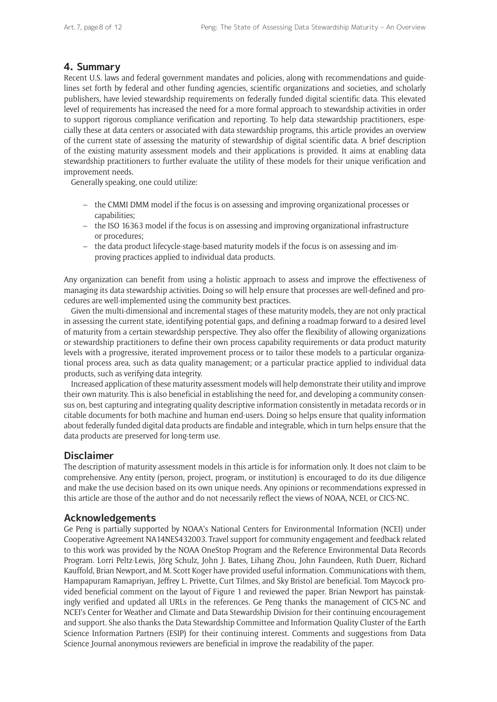# **4. Summary**

Recent U.S. laws and federal government mandates and policies, along with recommendations and guidelines set forth by federal and other funding agencies, scientific organizations and societies, and scholarly publishers, have levied stewardship requirements on federally funded digital scientific data. This elevated level of requirements has increased the need for a more formal approach to stewardship activities in order to support rigorous compliance verification and reporting. To help data stewardship practitioners, especially these at data centers or associated with data stewardship programs, this article provides an overview of the current state of assessing the maturity of stewardship of digital scientific data. A brief description of the existing maturity assessment models and their applications is provided. It aims at enabling data stewardship practitioners to further evaluate the utility of these models for their unique verification and improvement needs.

Generally speaking, one could utilize:

- the CMMI DMM model if the focus is on assessing and improving organizational processes or capabilities;
- the ISO 16363 model if the focus is on assessing and improving organizational infrastructure or procedures;
- the data product lifecycle-stage-based maturity models if the focus is on assessing and improving practices applied to individual data products.

Any organization can benefit from using a holistic approach to assess and improve the effectiveness of managing its data stewardship activities. Doing so will help ensure that processes are well-defined and procedures are well-implemented using the community best practices.

Given the multi-dimensional and incremental stages of these maturity models, they are not only practical in assessing the current state, identifying potential gaps, and defining a roadmap forward to a desired level of maturity from a certain stewardship perspective. They also offer the flexibility of allowing organizations or stewardship practitioners to define their own process capability requirements or data product maturity levels with a progressive, iterated improvement process or to tailor these models to a particular organizational process area, such as data quality management; or a particular practice applied to individual data products, such as verifying data integrity.

Increased application of these maturity assessment models will help demonstrate their utility and improve their own maturity. This is also beneficial in establishing the need for, and developing a community consensus on, best capturing and integrating quality descriptive information consistently in metadata records or in citable documents for both machine and human end-users. Doing so helps ensure that quality information about federally funded digital data products are findable and integrable, which in turn helps ensure that the data products are preserved for long-term use.

# **Disclaimer**

The description of maturity assessment models in this article is for information only. It does not claim to be comprehensive. Any entity (person, project, program, or institution) is encouraged to do its due diligence and make the use decision based on its own unique needs. Any opinions or recommendations expressed in this article are those of the author and do not necessarily reflect the views of NOAA, NCEI, or CICS-NC.

# **Acknowledgements**

Ge Peng is partially supported by NOAA's National Centers for Environmental Information (NCEI) under Cooperative Agreement NA14NES432003. Travel support for community engagement and feedback related to this work was provided by the NOAA OneStop Program and the Reference Environmental Data Records Program. Lorri Peltz-Lewis, Jörg Schulz, John J. Bates, Lihang Zhou, John Faundeen, Ruth Duerr, Richard Kauffold, Brian Newport, and M. Scott Koger have provided useful information. Communications with them, Hampapuram Ramapriyan, Jeffrey L. Privette, Curt Tilmes, and Sky Bristol are beneficial. Tom Maycock provided beneficial comment on the layout of Figure 1 and reviewed the paper. Brian Newport has painstakingly verified and updated all URLs in the references. Ge Peng thanks the management of CICS-NC and NCEI's Center for Weather and Climate and Data Stewardship Division for their continuing encouragement and support. She also thanks the Data Stewardship Committee and Information Quality Cluster of the Earth Science Information Partners (ESIP) for their continuing interest. Comments and suggestions from Data Science Journal anonymous reviewers are beneficial in improve the readability of the paper.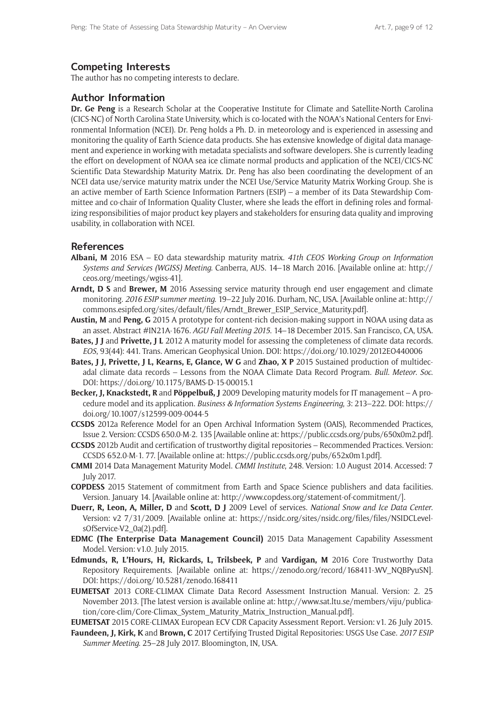# **Competing Interests**

The author has no competing interests to declare.

## **Author Information**

**Dr. Ge Peng** is a Research Scholar at the Cooperative Institute for Climate and Satellite-North Carolina (CICS-NC) of North Carolina State University, which is co-located with the NOAA's National Centers for Environmental Information (NCEI). Dr. Peng holds a Ph. D. in meteorology and is experienced in assessing and monitoring the quality of Earth Science data products. She has extensive knowledge of digital data management and experience in working with metadata specialists and software developers. She is currently leading the effort on development of NOAA sea ice climate normal products and application of the NCEI/CICS-NC Scientific Data Stewardship Maturity Matrix. Dr. Peng has also been coordinating the development of an NCEI data use/service maturity matrix under the NCEI Use/Service Maturity Matrix Working Group. She is an active member of Earth Science Information Partners (ESIP) – a member of its Data Stewardship Committee and co-chair of Information Quality Cluster, where she leads the effort in defining roles and formalizing responsibilities of major product key players and stakeholders for ensuring data quality and improving usability, in collaboration with NCEI.

## **References**

- **Albani, M** 2016 ESA EO data stewardship maturity matrix. *41th CEOS Working Group on Information Systems and Services (WGISS) Meeting*. Canberra, AUS. 14–18 March 2016. [Available online at: [http://](http://ceos.org/meetings/wgiss-41) [ceos.org/meetings/wgiss-41\]](http://ceos.org/meetings/wgiss-41).
- **Arndt, D S** and **Brewer, M** 2016 Assessing service maturity through end user engagement and climate monitoring. *2016 ESIP summer meeting*. 19–22 July 2016. Durham, NC, USA. [Available online at: [http://](http://commons.esipfed.org/sites/default/files/Arndt_Brewer_ESIP_Service_Maturity.pdf ) [commons.esipfed.org/sites/default/files/Arndt\\_Brewer\\_ESIP\\_Service\\_Maturity.pdf](http://commons.esipfed.org/sites/default/files/Arndt_Brewer_ESIP_Service_Maturity.pdf )].
- **Austin, M** and **Peng, G** 2015 A prototype for content-rich decision-making support in NOAA using data as an asset. Abstract #IN21A-1676. *AGU Fall Meeting 2015*. 14–18 December 2015. San Francisco, CA, USA.
- **Bates, J J** and **Privette, J L** 2012 A maturity model for assessing the completeness of climate data records. *EOS*, 93(44): 441. Trans. American Geophysical Union. DOI:<https://doi.org/10.1029/2012EO440006>
- **Bates, J J, Privette, J L, Kearns, E, Glance, W G** and **Zhao, X P** 2015 Sustained production of multidecadal climate data records – Lessons from the NOAA Climate Data Record Program. *Bull*. *Meteor*. *Soc*. DOI: <https://doi.org/10.1175/BAMS-D-15-00015.1>
- **Becker, J, Knackstedt, R** and **Pöppelbuß, J** 2009 Developing maturity models for IT management A procedure model and its application. *Business & Information Systems Engineering*, 3: 213–222. DOI: [https://](https://doi.org/10.1007/s12599-009-0044-5) [doi.org/10.1007/s12599-009-0044-5](https://doi.org/10.1007/s12599-009-0044-5)
- **CCSDS** 2012a Reference Model for an Open Archival Information System (OAIS), Recommended Practices, Issue 2. Version: CCSDS 650.0-M-2. 135 [Available online at: [https://public.ccsds.org/pubs/650x0m2.pdf\]](https://public.ccsds.org/pubs/650x0m2.pdf).
- **CCSDS** 2012b Audit and certification of trustworthy digital repositories Recommended Practices. Version: CCSDS 652.0-M-1. 77. [Available online at:<https://public.ccsds.org/pubs/652x0m1.pdf>].
- **CMMI** 2014 Data Management Maturity Model. *CMMI Institute*, 248. Version: 1.0 August 2014. Accessed: 7 July 2017.
- **COPDESS** 2015 Statement of commitment from Earth and Space Science publishers and data facilities. Version. January 14. [Available online at: [http://www.copdess.org/statement-of-commitment/\]](http://www.copdess.org/statement-of-commitment/).
- **Duerr, R, Leon, A, Miller, D** and **Scott, D J** 2009 Level of services. *National Snow and Ice Data Center*. Version: v2 7/31/2009. [Available online at: [https://nsidc.org/sites/nsidc.org/files/files/NSIDCLevel](https://nsidc.org/sites/nsidc.org/files/files/NSIDCLevelsOfService-V2_0a(2).pdf)[sOfService-V2\\_0a\(2\).pdf](https://nsidc.org/sites/nsidc.org/files/files/NSIDCLevelsOfService-V2_0a(2).pdf)].
- **EDMC (The Enterprise Data Management Council)** 2015 Data Management Capability Assessment Model. Version: v1.0. July 2015.
- **Edmunds, R, L'Hours, H, Rickards, L, Trilsbeek, P** and **Vardigan, M** 2016 Core Trustworthy Data Repository Requirements. [Available online at: [https://zenodo.org/record/168411-.WV\\_NQBPyuSN\]](https://zenodo.org/record/168411-.WV_NQBPyuSN). DOI: <https://doi.org/10.5281/zenodo.168411>
- **EUMETSAT** 2013 CORE-CLIMAX Climate Data Record Assessment Instruction Manual. Version: 2. 25 November 2013. [The latest version is available online at: [http://www.sat.ltu.se/members/viju/publica](http://www.sat.ltu.se/members/viju/publication/core-clim/Core-Climax_System_Maturity_Matrix_Instruction_Manual.pdf)[tion/core-clim/Core-Climax\\_System\\_Maturity\\_Matrix\\_Instruction\\_Manual.pdf\]](http://www.sat.ltu.se/members/viju/publication/core-clim/Core-Climax_System_Maturity_Matrix_Instruction_Manual.pdf).
- **EUMETSAT** 2015 CORE-CLIMAX European ECV CDR Capacity Assessment Report. Version: v1. 26 July 2015.
- **Faundeen, J, Kirk, K** and **Brown, C** 2017 Certifying Trusted Digital Repositories: USGS Use Case. *2017 ESIP Summer Meeting*. 25–28 July 2017. Bloomington, IN, USA.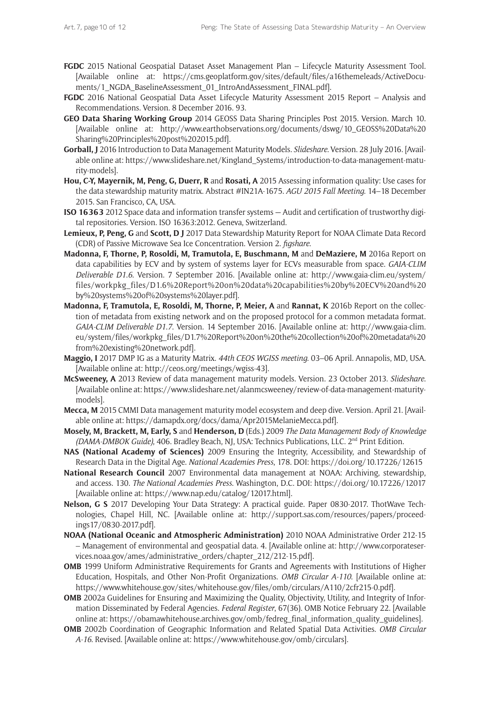- **FGDC** 2015 National Geospatial Dataset Asset Management Plan Lifecycle Maturity Assessment Tool. [Available online at: [https://cms.geoplatform.gov/sites/default/files/a16themeleads/ActiveDocu](https://cms.geoplatform.gov/sites/default/files/a16themeleads/ActiveDocuments/1_NGDA_BaselineAssessment_01_IntroAndAssessment_FINAL.pdf)[ments/1\\_NGDA\\_BaselineAssessment\\_01\\_IntroAndAssessment\\_FINAL.pdf](https://cms.geoplatform.gov/sites/default/files/a16themeleads/ActiveDocuments/1_NGDA_BaselineAssessment_01_IntroAndAssessment_FINAL.pdf)].
- **FGDC** 2016 National Geospatial Data Asset Lifecycle Maturity Assessment 2015 Report Analysis and Recommendations. Version. 8 December 2016. 93.
- **GEO Data Sharing Working Group** 2014 GEOSS Data Sharing Principles Post 2015. Version. March 10. [Available online at: [http://www.earthobservations.org/documents/dswg/10\\_GEOSS%20Data%20](http://www.earthobservations.org/documents/dswg/10_GEOSS%20Data%20Sharing%20Principles%20post%202015.pdf) [Sharing%20Principles%20post%202015.pdf\]](http://www.earthobservations.org/documents/dswg/10_GEOSS%20Data%20Sharing%20Principles%20post%202015.pdf).
- **Gorball, J** 2016 Introduction to Data Management Maturity Models. *Slideshare*. Version. 28 July 2016. [Available online at: [https://www.slideshare.net/Kingland\\_Systems/introduction-to-data-management-matu](https://www.slideshare.net/Kingland_Systems/introduction-to-data-management-maturity-models)[rity-models](https://www.slideshare.net/Kingland_Systems/introduction-to-data-management-maturity-models)].
- **Hou, C-Y, Mayernik, M, Peng, G, Duerr, R** and **Rosati, A** 2015 Assessing information quality: Use cases for the data stewardship maturity matrix. Abstract #IN21A-1675. *AGU 2015 Fall Meeting*. 14–18 December 2015. San Francisco, CA, USA.
- **ISO 16363** 2012 Space data and information transfer systems Audit and certification of trustworthy digital repositories. Version. ISO 16363:2012. Geneva, Switzerland.
- **Lemieux, P, Peng, G** and **Scott, D J** 2017 Data Stewardship Maturity Report for NOAA Climate Data Record (CDR) of Passive Microwave Sea Ice Concentration. Version 2. *figshare*.
- **Madonna, F, Thorne, P, Rosoldi, M, Tramutola, E, Buschmann, M** and **DeMaziere, M** 2016a Report on data capabilities by ECV and by system of systems layer for ECVs measurable from space. *GAIA-CLIM Deliverable D1*.*6*. Version. 7 September 2016. [Available online at: [http://www.gaia-clim.eu/system/](http://www.gaia-clim.eu/system/files/workpkg_files/D1.6%20Report%20on%20data%20capabilities%20by%20ECV%20and%20by%20systems%20of%20systems%20layer.pdf) [files/workpkg\\_files/D1.6%20Report%20on%20data%20capabilities%20by%20ECV%20and%20](http://www.gaia-clim.eu/system/files/workpkg_files/D1.6%20Report%20on%20data%20capabilities%20by%20ECV%20and%20by%20systems%20of%20systems%20layer.pdf) [by%20systems%20of%20systems%20layer.pdf\]](http://www.gaia-clim.eu/system/files/workpkg_files/D1.6%20Report%20on%20data%20capabilities%20by%20ECV%20and%20by%20systems%20of%20systems%20layer.pdf).
- **Madonna, F, Tramutola, E, Rosoldi, M, Thorne, P, Meier, A** and **Rannat, K** 2016b Report on the collection of metadata from existing network and on the proposed protocol for a common metadata format. *GAIA-CLIM Deliverable D1*.*7*. Version. 14 September 2016. [Available online at: [http://www.gaia-clim.](http://www.gaia-clim.eu/system/files/workpkg_files/D1.7%20Report%20on%20the%20collection%20of%20metadata%20from%20existing%20network.pdf) [eu/system/files/workpkg\\_files/D1.7%20Report%20on%20the%20collection%20of%20metadata%20](http://www.gaia-clim.eu/system/files/workpkg_files/D1.7%20Report%20on%20the%20collection%20of%20metadata%20from%20existing%20network.pdf) [from%20existing%20network.pdf](http://www.gaia-clim.eu/system/files/workpkg_files/D1.7%20Report%20on%20the%20collection%20of%20metadata%20from%20existing%20network.pdf)].
- **Maggio, I** 2017 DMP IG as a Maturity Matrix. *44th CEOS WGISS meeting*. 03–06 April. Annapolis, MD, USA. [Available online at: [http://ceos.org/meetings/wgiss-43\]](http://ceos.org/meetings/wgiss-43).
- **McSweeney, A** 2013 Review of data management maturity models. Version. 23 October 2013. *Slideshare*. [Available online at: [https://www.slideshare.net/alanmcsweeney/review-of-data-management-maturity](https://www.slideshare.net/alanmcsweeney/review-of-data-management-maturity-models)[models](https://www.slideshare.net/alanmcsweeney/review-of-data-management-maturity-models)].
- **Mecca, M** 2015 CMMI Data management maturity model ecosystem and deep dive. Version. April 21. [Available online at: <https://damapdx.org/docs/dama/Apr2015MelanieMecca.pdf>].
- **Mosely, M, Brackett, M, Early, S** and **Henderson, D** (Eds.) 2009 *The Data Management Body of Knowledge (DAMA-DMBOK Guide)*, 406. Bradley Beach, NJ, USA: Technics Publications, LLC. 2<sup>nd</sup> Print Edition.
- **NAS (National Academy of Sciences)** 2009 Ensuring the Integrity, Accessibility, and Stewardship of Research Data in the Digital Age. *National Academies Press*, 178. DOI: <https://doi.org/10.17226/12615>
- **National Research Council** 2007 Environmental data management at NOAA: Archiving, stewardship, and access. 130. *The National Academies Press*. Washington, D.C. DOI: <https://doi.org/10.17226/12017> [Available online at:<https://www.nap.edu/catalog/12017.html>].
- **Nelson, G S** 2017 Developing Your Data Strategy: A practical guide. Paper 0830-2017. ThotWave Technologies, Chapel Hill, NC. [Available online at: [http://support.sas.com/resources/papers/proceed](http://support.sas.com/resources/papers/proceedings17/0830-2017.pdf )[ings17/0830-2017.pdf](http://support.sas.com/resources/papers/proceedings17/0830-2017.pdf )].
- **NOAA (National Oceanic and Atmospheric Administration)** 2010 NOAA Administrative Order 212-15 – Management of environmental and geospatial data. 4. [Available online at: [http://www.corporateser](http://www.corporateservices.noaa.gov/ames/administrative_orders/chapter_212/212-15.pdf)[vices.noaa.gov/ames/administrative\\_orders/chapter\\_212/212-15.pdf](http://www.corporateservices.noaa.gov/ames/administrative_orders/chapter_212/212-15.pdf)].
- **OMB** 1999 Uniform Administrative Requirements for Grants and Agreements with Institutions of Higher Education, Hospitals, and Other Non-Profit Organizations. *OMB Circular A-110*. [Available online at: [https://www.whitehouse.gov/sites/whitehouse.gov/files/omb/circulars/A110/2cfr215-0.pdf\]](https://www.whitehouse.gov/sites/whitehouse.gov/files/omb/circulars/A110/2cfr215-0.pdf).
- **OMB** 2002a Guidelines for Ensuring and Maximizing the Quality, Objectivity, Utility, and Integrity of Information Disseminated by Federal Agencies. *Federal Register*, 67(36). OMB Notice February 22. [Available online at: [https://obamawhitehouse.archives.gov/omb/fedreg\\_final\\_information\\_quality\\_guidelines\]](https://obamawhitehouse.archives.gov/omb/fedreg_final_information_quality_guidelines).
- **OMB** 2002b Coordination of Geographic Information and Related Spatial Data Activities. *OMB Circular A-16*. Revised. [Available online at: [https://www.whitehouse.gov/omb/circulars\]](https://www.whitehouse.gov/omb/circulars).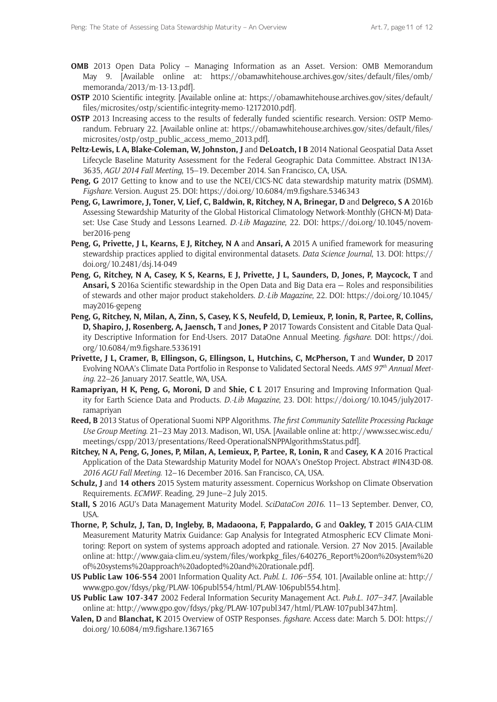- **OMB** 2013 Open Data Policy Managing Information as an Asset. Version: OMB Memorandum May 9. [Available online at: [https://obamawhitehouse.archives.gov/sites/default/files/omb/](https://obamawhitehouse.archives.gov/sites/default/files/omb/memoranda/2013/m-13-13.pdf) [memoranda/2013/m-13-13.pdf](https://obamawhitehouse.archives.gov/sites/default/files/omb/memoranda/2013/m-13-13.pdf)].
- **OSTP** 2010 Scientific integrity. [Available online at: [https://obamawhitehouse.archives.gov/sites/default/](https://obamawhitehouse.archives.gov/sites/default/files/microsites/ostp/scientific-integrity-memo-12172010.pdf) [files/microsites/ostp/scientific-integrity-memo-12172010.pdf\]](https://obamawhitehouse.archives.gov/sites/default/files/microsites/ostp/scientific-integrity-memo-12172010.pdf).
- **OSTP** 2013 Increasing access to the results of federally funded scientific research. Version: OSTP Memorandum. February 22. [Available online at: [https://obamawhitehouse.archives.gov/sites/default/files/](https://obamawhitehouse.archives.gov/sites/default/files/microsites/ostp/ostp_public_access_memo_2013.pdf) [microsites/ostp/ostp\\_public\\_access\\_memo\\_2013.pdf\]](https://obamawhitehouse.archives.gov/sites/default/files/microsites/ostp/ostp_public_access_memo_2013.pdf).
- **Peltz-Lewis, L A, Blake-Coleman, W, Johnston, J** and **DeLoatch, I B** 2014 National Geospatial Data Asset Lifecycle Baseline Maturity Assessment for the Federal Geographic Data Committee. Abstract IN13A-3635, *AGU 2014 Fall Meeting*, 15–19. December 2014. San Francisco, CA, USA.
- **Peng, G** 2017 Getting to know and to use the NCEI/CICS-NC data stewardship maturity matrix (DSMM). *Figshare*. Version. August 25. DOI:<https://doi.org/10.6084/m9.figshare.5346343>
- **Peng, G, Lawrimore, J, Toner, V, Lief, C, Baldwin, R, Ritchey, N A, Brinegar, D** and **Delgreco, S A** 2016b Assessing Stewardship Maturity of the Global Historical Climatology Network-Monthly (GHCN-M) Dataset: Use Case Study and Lessons Learned. *D*.*-Lib Magazine*, 22. DOI: [https://doi.org/10.1045/novem](https://doi.org/10.1045/november2016-peng)[ber2016-peng](https://doi.org/10.1045/november2016-peng)
- **Peng, G, Privette, J L, Kearns, E J, Ritchey, N A** and **Ansari, A** 2015 A unified framework for measuring stewardship practices applied to digital environmental datasets. *Data Science Journal*, 13. DOI: [https://](https://doi.org/10.2481/dsj.14-049) [doi.org/10.2481/dsj.14-049](https://doi.org/10.2481/dsj.14-049)
- **Peng, G, Ritchey, N A, Casey, K S, Kearns, E J, Privette, J L, Saunders, D, Jones, P, Maycock, T** and **Ansari, S** 2016a Scientific stewardship in the Open Data and Big Data era — Roles and responsibilities of stewards and other major product stakeholders. *D*.*-Lib Magazine*, 22. DOI: [https://doi.org/10.1045/](https://doi.org/10.1045/may2016-gepeng) [may2016-gepeng](https://doi.org/10.1045/may2016-gepeng)
- **Peng, G, Ritchey, N, Milan, A, Zinn, S, Casey, K S, Neufeld, D, Lemieux, P, Ionin, R, Partee, R, Collins, D, Shapiro, J, Rosenberg, A, Jaensch, T** and **Jones, P** 2017 Towards Consistent and Citable Data Quality Descriptive Information for End-Users. 2017 DataOne Annual Meeting. *figshare*. DOI: [https://doi.](https://doi.org/10.6084/m9.figshare.5336191) [org/10.6084/m9.figshare.5336191](https://doi.org/10.6084/m9.figshare.5336191)
- **Privette, J L, Cramer, B, Ellingson, G, Ellingson, L, Hutchins, C, McPherson, T** and **Wunder, D** 2017 Evolving NOAA's Climate Data Portfolio in Response to Validated Sectoral Needs. *AMS 97th Annual Meeting*. 22–26 January 2017. Seattle, WA, USA.
- **Ramapriyan, H K, Peng, G, Moroni, D** and **Shie, C L** 2017 Ensuring and Improving Information Quality for Earth Science Data and Products. *D*.*-Lib Magazine*, 23. DOI: [https://doi.org/10.1045/july2017](https://doi.org/10.1045/july2017-ramapriyan) [ramapriyan](https://doi.org/10.1045/july2017-ramapriyan)
- **Reed, B** 2013 Status of Operational Suomi NPP Algorithms. *The first Community Satellite Processing Package Use Group Meeting*. 21–23 May 2013. Madison, WI, USA. [Available online at: [http://www.ssec.wisc.edu/](http://www.ssec.wisc.edu/meetings/cspp/2013/presentations/Reed-OperationalSNPPAlgorithmsStatus.pdf) [meetings/cspp/2013/presentations/Reed-OperationalSNPPAlgorithmsStatus.pdf](http://www.ssec.wisc.edu/meetings/cspp/2013/presentations/Reed-OperationalSNPPAlgorithmsStatus.pdf)].
- **Ritchey, N A, Peng, G, Jones, P, Milan, A, Lemieux, P, Partee, R, Lonin, R** and **Casey, K A** 2016 Practical Application of the Data Stewardship Maturity Model for NOAA's OneStop Project. Abstract #IN43D-08. *2016 AGU Fall Meeting*. 12–16 December 2016. San Francisco, CA, USA.
- **Schulz, J** and **14 others** 2015 System maturity assessment. Copernicus Workshop on Climate Observation Requirements. *ECMWF*. Reading, 29 June–2 July 2015.
- **Stall, S** 2016 AGU's Data Management Maturity Model. *SciDataCon 2016*. 11–13 September. Denver, CO, USA.
- **Thorne, P, Schulz, J, Tan, D, Ingleby, B, Madaoona, F, Pappalardo, G** and **Oakley, T** 2015 GAIA-CLIM Measurement Maturity Matrix Guidance: Gap Analysis for Integrated Atmospheric ECV Climate Monitoring: Report on system of systems approach adopted and rationale. Version. 27 Nov 2015. [Available online at: [http://www.gaia-clim.eu/system/files/workpkg\\_files/640276\\_Report%20on%20system%20](http://www.gaia-clim.eu/system/files/workpkg_files/640276_Report%20on%20system%20of%20systems%20approach%20adopted%20and%20rationale.pdf) [of%20systems%20approach%20adopted%20and%20rationale.pdf\]](http://www.gaia-clim.eu/system/files/workpkg_files/640276_Report%20on%20system%20of%20systems%20approach%20adopted%20and%20rationale.pdf).
- **US Public Law 106-554** 2001 Information Quality Act. *Publ*. *L*. *106–554*, 101. [Available online at: [http://](http://www.gpo.gov/fdsys/pkg/PLAW-106publ554/html/PLAW-106publ554.htm) [www.gpo.gov/fdsys/pkg/PLAW-106publ554/html/PLAW-106publ554.htm](http://www.gpo.gov/fdsys/pkg/PLAW-106publ554/html/PLAW-106publ554.htm)].
- **US Public Law 107-347** 2002 Federal Information Security Management Act. *Pub*.*L*. *107–347*. [Available online at: <http://www.gpo.gov/fdsys/pkg/PLAW-107publ347/html/PLAW-107publ347.htm>].
- **Valen, D** and **Blanchat, K** 2015 Overview of OSTP Responses. *figshare*. Access date: March 5. DOI: [https://](https://doi.org/10.6084/m9.figshare.1367165) [doi.org/10.6084/m9.figshare.1367165](https://doi.org/10.6084/m9.figshare.1367165)